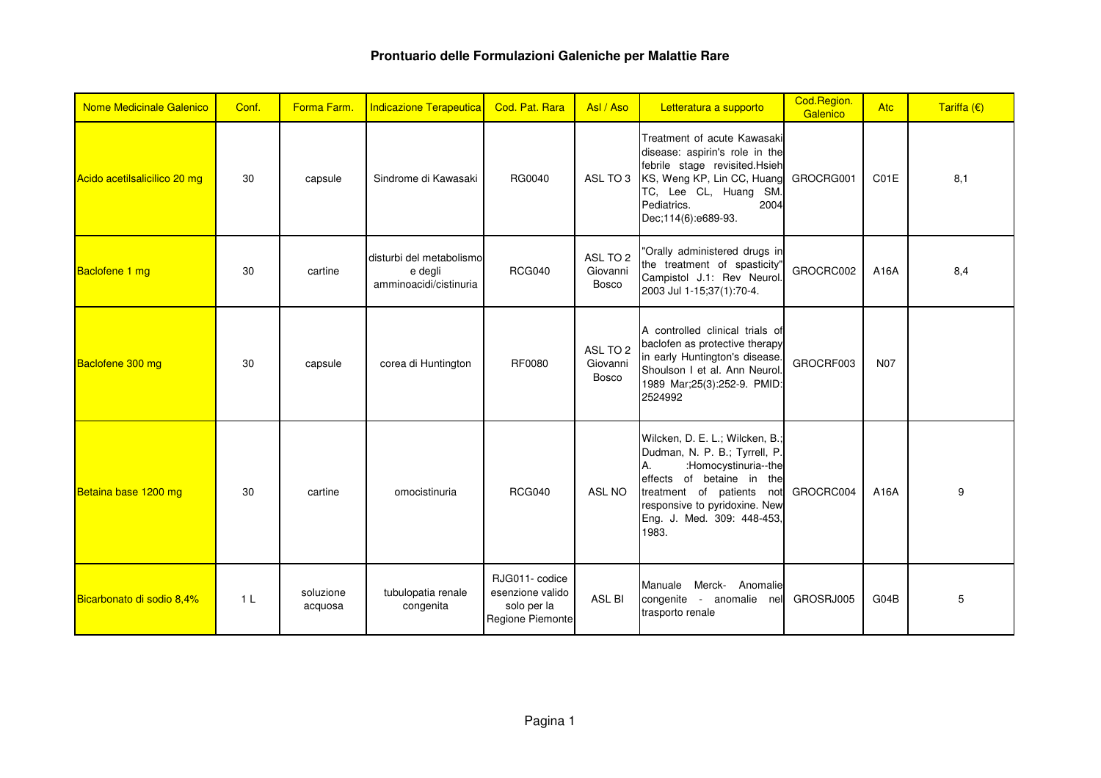| <b>Nome Medicinale Galenico</b> | Conf.          | Forma Farm.          | Indicazione Terapeutica                                       | Cod. Pat. Rara                                                       | Asl / Aso                            | Letteratura a supporto                                                                                                                                                                                                           | Cod.Region.<br>Galenico | Atc        | Tariffa $(E)$ |
|---------------------------------|----------------|----------------------|---------------------------------------------------------------|----------------------------------------------------------------------|--------------------------------------|----------------------------------------------------------------------------------------------------------------------------------------------------------------------------------------------------------------------------------|-------------------------|------------|---------------|
| Acido acetilsalicilico 20 mg    | 30             | capsule              | Sindrome di Kawasaki                                          | RG0040                                                               |                                      | Treatment of acute Kawasaki<br>disease: aspirin's role in the<br>febrile stage revisited.Hsieh<br>ASL TO 3 KS, Weng KP, Lin CC, Huang GROCRG001<br>TC, Lee CL, Huang SM.<br>Pediatrics.<br>2004<br>Dec;114(6):e689-93.           |                         | C01E       | 8,1           |
| Baclofene 1 mg                  | 30             | cartine              | disturbi del metabolismo<br>e degli<br>amminoacidi/cistinuria | <b>RCG040</b>                                                        | ASL TO 2<br>Giovanni<br><b>Bosco</b> | "Orally administered drugs in<br>the treatment of spasticity"<br>Campistol J.1: Rev Neurol.<br>2003 Jul 1-15;37(1):70-4.                                                                                                         | GROCRC002               | A16A       | 8,4           |
| Baclofene 300 mg                | 30             | capsule              | corea di Huntington                                           | RF0080                                                               | ASL TO 2<br>Giovanni<br><b>Bosco</b> | A controlled clinical trials of<br>baclofen as protective therapy<br>in early Huntington's disease.<br>Shoulson I et al. Ann Neurol.<br>1989 Mar;25(3):252-9. PMID:<br>2524992                                                   | GROCRF003               | <b>N07</b> |               |
| Betaina base 1200 mg            | 30             | cartine              | omocistinuria                                                 | <b>RCG040</b>                                                        | <b>ASL NO</b>                        | Wilcken, D. E. L.; Wilcken, B.;<br>Dudman, N. P. B.; Tyrrell, P.<br>:Homocystinuria--the<br>А.<br>effects of betaine in the<br>treatment of patients not<br>responsive to pyridoxine. New<br>Eng. J. Med. 309: 448-453,<br>1983. | GROCRC004               | A16A       | 9             |
| Bicarbonato di sodio 8,4%       | 1 <sup>L</sup> | soluzione<br>acquosa | tubulopatia renale<br>congenita                               | RJG011-codice<br>esenzione valido<br>solo per la<br>Regione Piemonte | ASL BI                               | Merck- Anomalie<br>Manuale<br>congenite - anomalie nel<br>trasporto renale                                                                                                                                                       | GROSRJ005               | G04B       | 5             |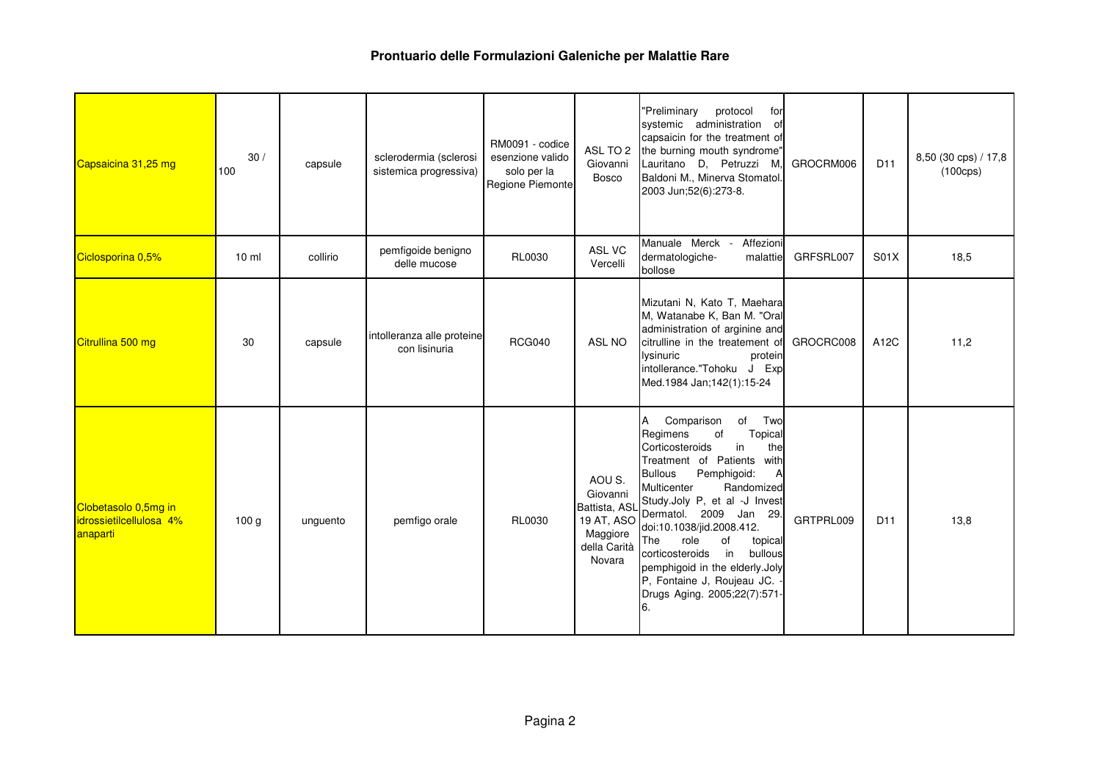| Capsaicina 31,25 mg                                         | 30/<br>100       | capsule  | sclerodermia (sclerosi<br>sistemica progressiva) | RM0091 - codice<br>esenzione valido<br>solo per la<br>Regione Piemonte | ASL TO 2<br>Giovanni<br><b>Bosco</b>                                                    | "Preliminary<br>protocol<br>for<br>systemic administration<br>0f<br>capsaicin for the treatment of<br>the burning mouth syndrome"<br>Lauritano D, Petruzzi M,<br>Baldoni M., Minerva Stomatol.<br>2003 Jun;52(6):273-8.                                                                                                                                                                                                                                         | GROCRM006 | D <sub>11</sub> | 8,50 (30 cps) / 17,8<br>$(100 \text{cps})$ |
|-------------------------------------------------------------|------------------|----------|--------------------------------------------------|------------------------------------------------------------------------|-----------------------------------------------------------------------------------------|-----------------------------------------------------------------------------------------------------------------------------------------------------------------------------------------------------------------------------------------------------------------------------------------------------------------------------------------------------------------------------------------------------------------------------------------------------------------|-----------|-----------------|--------------------------------------------|
| Ciclosporina 0,5%                                           | $10 \mathrm{m}$  | collirio | pemfigoide benigno<br>delle mucose               | <b>RL0030</b>                                                          | ASL VC<br>Vercelli                                                                      | Manuale Merck -<br>Affezioni<br>dermatologiche-<br>malattie<br>bollose                                                                                                                                                                                                                                                                                                                                                                                          | GRFSRL007 | <b>S01X</b>     | 18,5                                       |
| Citrullina 500 mg                                           | 30               | capsule  | intolleranza alle proteine<br>con lisinuria      | <b>RCG040</b>                                                          | ASL NO                                                                                  | Mizutani N, Kato T, Maehara<br>M, Watanabe K, Ban M. "Oral<br>administration of arginine and<br>citrulline in the treatement of<br>lysinuric<br>protein<br>intollerance."Tohoku J Exp<br>Med.1984 Jan;142(1):15-24                                                                                                                                                                                                                                              | GROCRC008 | A12C            | 11,2                                       |
| Clobetasolo 0,5mg in<br>idrossietilcellulosa 4%<br>anaparti | 100 <sub>g</sub> | unguento | pemfigo orale                                    | <b>RL0030</b>                                                          | AOU S.<br>Giovanni<br>Battista, ASL<br>19 AT, ASO<br>Maggiore<br>della Carità<br>Novara | A<br>Comparison<br>of<br>Two<br>of<br>Topical<br>Regimens<br>Corticosteroids<br>in<br>the<br>Treatment of Patients<br>with<br><b>Bullous</b><br>Pemphigoid:<br>A<br>Multicenter<br>Randomized<br>Study.Joly P, et al -J Invest<br>Dermatol. 2009 Jan 29.<br>doi:10.1038/jid.2008.412.<br>of<br>role<br>The<br>topical<br>corticosteroids<br>in<br>bullous<br>pemphigoid in the elderly.Joly<br>P, Fontaine J, Roujeau JC.<br>Drugs Aging. 2005;22(7):571-<br>6. | GRTPRL009 | D <sub>11</sub> | 13,8                                       |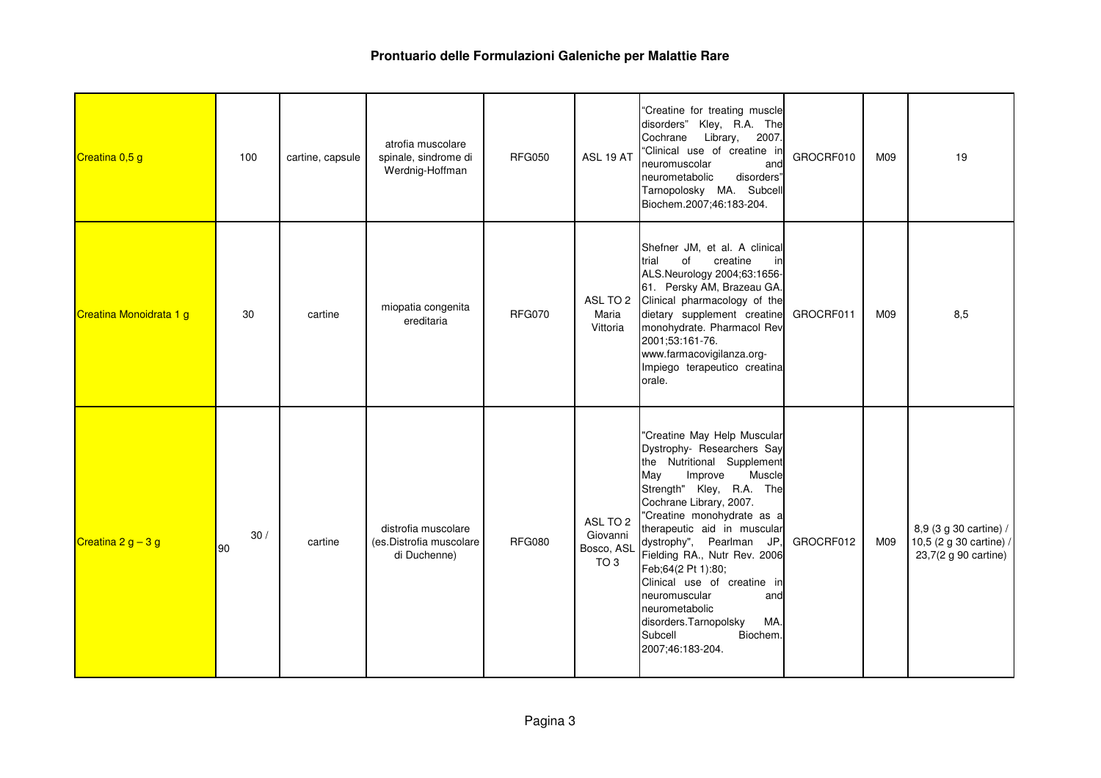| Creatina 0,5 g          | 100       | cartine, capsule | atrofia muscolare<br>spinale, sindrome di<br>Werdnig-Hoffman   | <b>RFG050</b> | ASL 19 AT                                             | "Creatine for treating muscle<br>disorders" Kley, R.A. The<br>Cochrane Library, 2007.<br>"Clinical use of creatine in<br>neuromuscolar<br>and<br>disorders"<br>neurometabolic<br>Tarnopolosky MA. Subcell<br>Biochem.2007;46:183-204.                                                                                                                                                                                                                                         | GROCRF010 | M09 | 19                                                                        |
|-------------------------|-----------|------------------|----------------------------------------------------------------|---------------|-------------------------------------------------------|-------------------------------------------------------------------------------------------------------------------------------------------------------------------------------------------------------------------------------------------------------------------------------------------------------------------------------------------------------------------------------------------------------------------------------------------------------------------------------|-----------|-----|---------------------------------------------------------------------------|
| Creatina Monoidrata 1 g | 30        | cartine          | miopatia congenita<br>ereditaria                               | <b>RFG070</b> | Maria<br>Vittoria                                     | Shefner JM, et al. A clinical<br>trial<br>of<br>creatine<br>in<br>ALS.Neurology 2004;63:1656-<br>61. Persky AM, Brazeau GA.<br>ASL TO 2 Clinical pharmacology of the<br>dietary supplement creatine<br>monohydrate. Pharmacol Rev<br>2001;53:161-76.<br>www.farmacovigilanza.org-<br>Impiego terapeutico creatina<br>orale.                                                                                                                                                   | GROCRF011 | M09 | 8,5                                                                       |
| Creatina $2 g - 3 g$    | 30/<br>90 | cartine          | distrofia muscolare<br>(es.Distrofia muscolare<br>di Duchenne) | <b>RFG080</b> | ASL TO 2<br>Giovanni<br>Bosco, ASL<br>TO <sub>3</sub> | "Creatine May Help Muscular<br>Dystrophy- Researchers Say<br>the Nutritional Supplement<br>May<br>Muscle<br>Improve<br>Strength" Kley, R.A. The<br>Cochrane Library, 2007.<br>"Creatine monohydrate as a<br>therapeutic aid in muscular<br>dystrophy", Pearlman JP,<br>Fielding RA., Nutr Rev. 2006<br>Feb;64(2 Pt 1):80;<br>Clinical use of creatine in<br>neuromuscular<br>and<br>neurometabolic<br>MA.<br>disorders.Tarnopolsky<br>Subcell<br>Biochem.<br>2007;46:183-204. | GROCRF012 | M09 | 8,9 (3 g 30 cartine) /<br>10,5 (2 g 30 cartine) /<br>23,7(2 g 90 cartine) |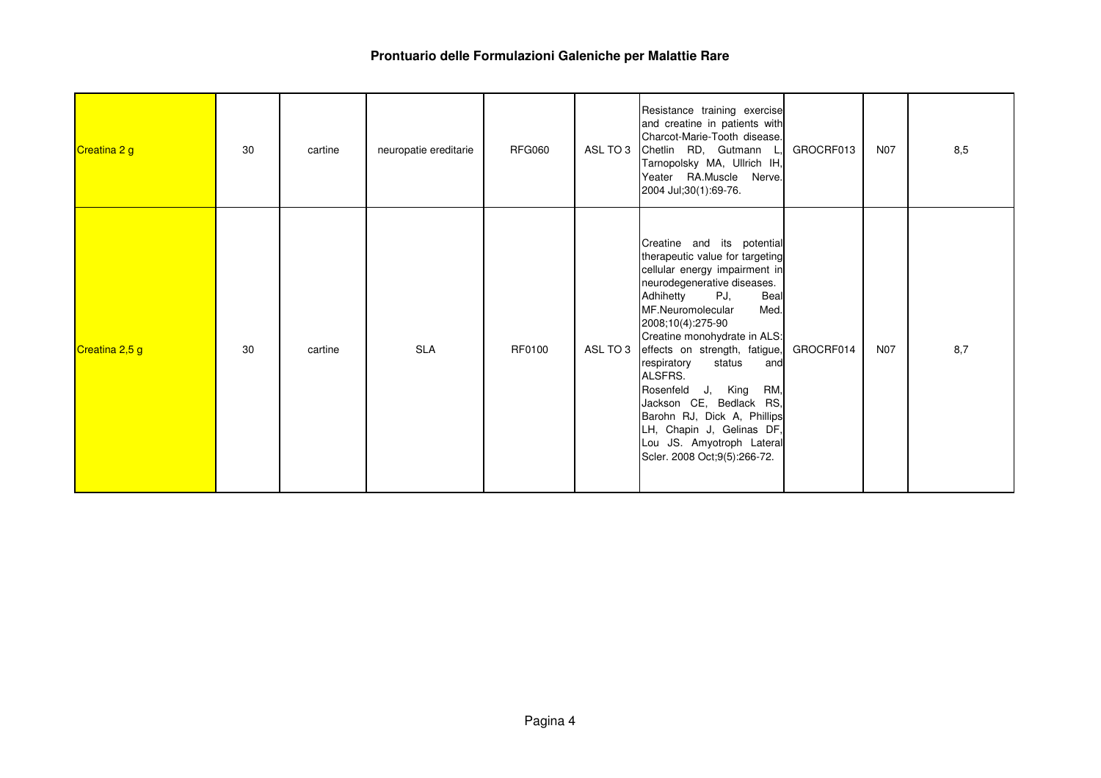| Creatina 2 g   | 30 | cartine | neuropatie ereditarie | <b>RFG060</b> |          | Resistance training exercise<br>and creatine in patients with<br>Charcot-Marie-Tooth disease.<br>ASL TO 3 Chetlin RD, Gutmann L,<br>Tarnopolsky MA, Ullrich IH,<br>Yeater RA.Muscle Nerve.<br>2004 Jul;30(1):69-76.                                                                                                                                                                                                                                                                                        | GROCRF013 | <b>N07</b> | 8,5 |
|----------------|----|---------|-----------------------|---------------|----------|------------------------------------------------------------------------------------------------------------------------------------------------------------------------------------------------------------------------------------------------------------------------------------------------------------------------------------------------------------------------------------------------------------------------------------------------------------------------------------------------------------|-----------|------------|-----|
| Creatina 2,5 g | 30 | cartine | <b>SLA</b>            | RF0100        | ASL TO 3 | Creatine and its potential<br>therapeutic value for targeting<br>cellular energy impairment in<br>neurodegenerative diseases.<br>PJ,<br>Adhihetty<br>Beal<br>MF.Neuromolecular<br>Med.<br>2008;10(4):275-90<br>Creatine monohydrate in ALS:<br>effects on strength, fatigue,<br>respiratory<br>status<br>and<br>ALSFRS.<br>Rosenfeld<br>J, King<br>RM,<br>Jackson CE, Bedlack RS,<br>Barohn RJ, Dick A, Phillips<br>LH, Chapin J, Gelinas DF,<br>Lou JS. Amyotroph Lateral<br>Scler. 2008 Oct;9(5):266-72. | GROCRF014 | <b>N07</b> | 8,7 |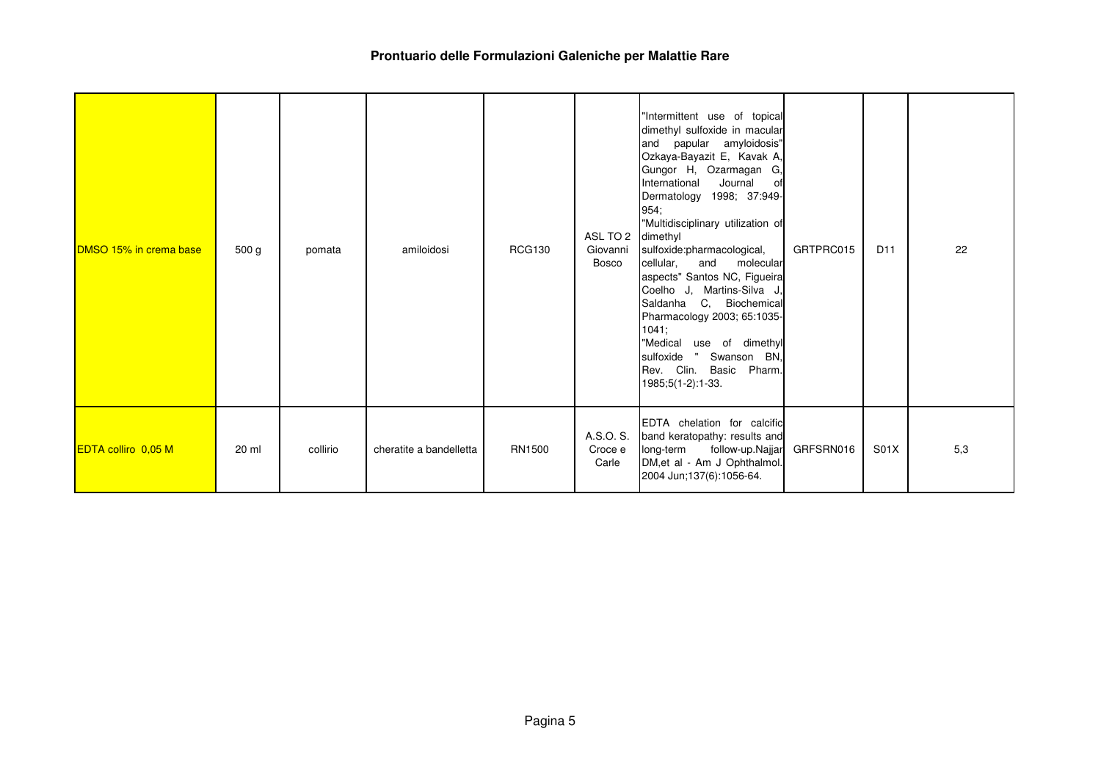| <b>DMSO 15% in crema base</b> | 500 g | pomata   | amiloidosi              | <b>RCG130</b> | ASL TO 2<br>Giovanni<br>Bosco | "Intermittent use of topical<br>dimethyl sulfoxide in macular<br>and papular amyloidosis"<br>Ozkaya-Bayazit E, Kavak A,<br>Gungor H, Ozarmagan G,<br>International<br>Journal<br>0f<br>Dermatology 1998; 37:949-<br>954;<br>"Multidisciplinary utilization of<br>dimethyl<br>sulfoxide:pharmacological,<br>cellular,<br>and<br>molecular<br>aspects" Santos NC, Figueira<br>Coelho J, Martins-Silva J,<br>Saldanha C, Biochemical<br>Pharmacology 2003; 65:1035-<br>1041;<br>"Medical use of dimethyl<br>sulfoxide "<br>Swanson BN,<br>Rev. Clin.<br>Basic Pharm.<br>1985;5(1-2):1-33. | GRTPRC015 | D <sub>11</sub> | 22  |
|-------------------------------|-------|----------|-------------------------|---------------|-------------------------------|----------------------------------------------------------------------------------------------------------------------------------------------------------------------------------------------------------------------------------------------------------------------------------------------------------------------------------------------------------------------------------------------------------------------------------------------------------------------------------------------------------------------------------------------------------------------------------------|-----------|-----------------|-----|
| <b>EDTA colliro</b> 0,05 M    | 20 ml | collirio | cheratite a bandelletta | RN1500        | A.S.O. S.<br>Croce e<br>Carle | EDTA chelation for calcific<br>band keratopathy: results and<br>long-term follow-up.Najjar<br>DM, et al - Am J Ophthalmol.<br>2004 Jun;137(6):1056-64.                                                                                                                                                                                                                                                                                                                                                                                                                                 | GRFSRN016 | S01X            | 5,3 |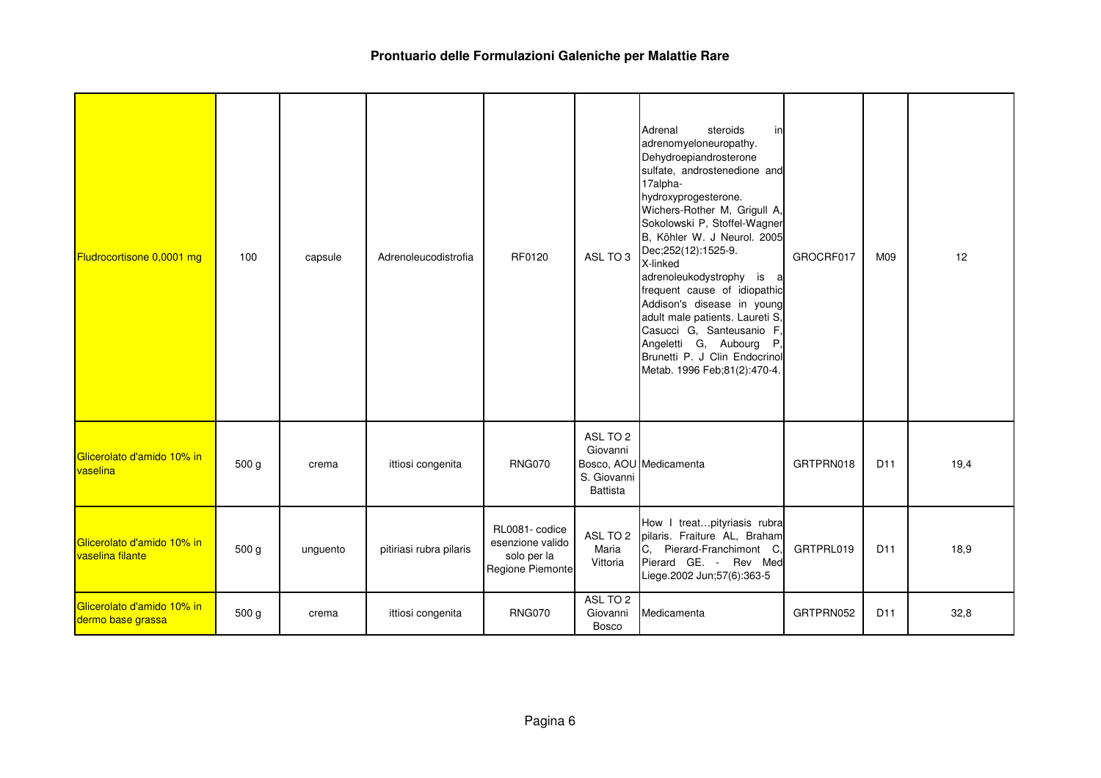| Fludrocortisone 0,0001 mg                       | 100   | capsule  | Adrenoleucodistrofia    | RF0120                                                                | ASL TO 3                                               | steroids<br>Adrenal<br>in<br>adrenomyeloneuropathy.<br>Dehydroepiandrosterone<br>sulfate, androstenedione and<br>17alpha-<br>hydroxyprogesterone.<br>Wichers-Rother M, Grigull A,<br>Sokolowski P, Stoffel-Wagner<br>B, Köhler W. J Neurol. 2005<br>Dec;252(12):1525-9.<br>X-linked<br>adrenoleukodystrophy is<br>a<br>frequent cause of idiopathic<br>Addison's disease in young<br>adult male patients. Laureti S,<br>Casucci G, Santeusanio F,<br>Angeletti G, Aubourg<br>Р.<br>Brunetti P. J Clin Endocrinol<br>Metab. 1996 Feb;81(2):470-4. | GROCRF017 | M09             | 12   |
|-------------------------------------------------|-------|----------|-------------------------|-----------------------------------------------------------------------|--------------------------------------------------------|--------------------------------------------------------------------------------------------------------------------------------------------------------------------------------------------------------------------------------------------------------------------------------------------------------------------------------------------------------------------------------------------------------------------------------------------------------------------------------------------------------------------------------------------------|-----------|-----------------|------|
| Glicerolato d'amido 10% in<br>vaselina          | 500 g | crema    | ittiosi congenita       | <b>RNG070</b>                                                         | ASL TO 2<br>Giovanni<br>S. Giovanni<br><b>Battista</b> | Bosco, AOU Medicamenta                                                                                                                                                                                                                                                                                                                                                                                                                                                                                                                           | GRTPRN018 | D <sub>11</sub> | 19,4 |
| Glicerolato d'amido 10% in<br>vaselina filante  | 500 g | unguento | pitiriasi rubra pilaris | RL0081- codice<br>esenzione valido<br>solo per la<br>Regione Piemonte | ASL TO 2<br>Maria<br>Vittoria                          | How I treatpityriasis rubra<br>pilaris. Fraiture AL, Braham<br>C,<br>Pierard-Franchimont C,<br>Pierard GE. - Rev Med<br>Liege.2002 Jun;57(6):363-5                                                                                                                                                                                                                                                                                                                                                                                               | GRTPRL019 | D <sub>11</sub> | 18,9 |
| Glicerolato d'amido 10% in<br>dermo base grassa | 500 g | crema    | ittiosi congenita       | <b>RNG070</b>                                                         | ASL TO 2<br>Giovanni<br><b>Bosco</b>                   | Medicamenta                                                                                                                                                                                                                                                                                                                                                                                                                                                                                                                                      | GRTPRN052 | D <sub>11</sub> | 32,8 |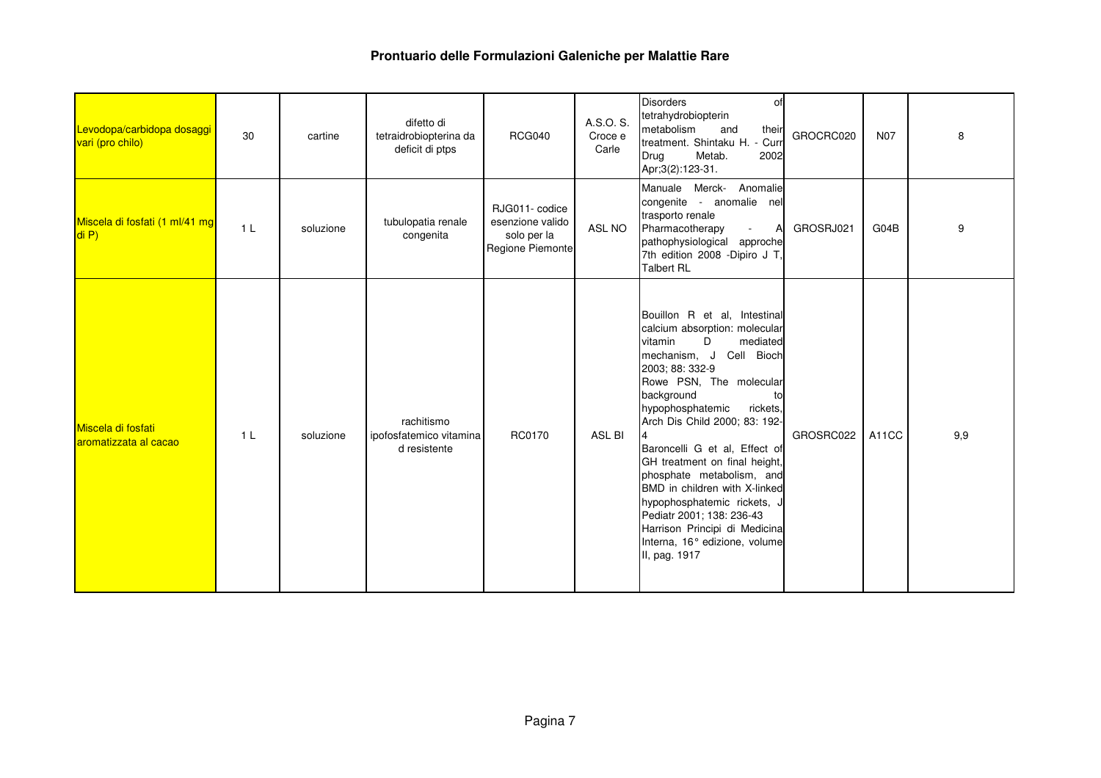| Levodopa/carbidopa dosaggi<br>vari (pro chilo) | 30             | cartine   | difetto di<br>tetraidrobiopterina da<br>deficit di ptps | <b>RCG040</b>                                                         | A.S.O. S.<br>Croce e<br>Carle | <b>Disorders</b><br>of<br>tetrahydrobiopterin<br>metabolism<br>and<br>their<br>treatment. Shintaku H. - Curr<br>Drug<br>Metab.<br>2002<br>Apr;3(2):123-31.                                                                                                                                                                                                                                                                                                                                                                             | GROCRC020 | <b>N07</b> | 8   |
|------------------------------------------------|----------------|-----------|---------------------------------------------------------|-----------------------------------------------------------------------|-------------------------------|----------------------------------------------------------------------------------------------------------------------------------------------------------------------------------------------------------------------------------------------------------------------------------------------------------------------------------------------------------------------------------------------------------------------------------------------------------------------------------------------------------------------------------------|-----------|------------|-----|
| Miscela di fosfati (1 ml/41 mg<br>di P)        | 1 <sub>L</sub> | soluzione | tubulopatia renale<br>congenita                         | RJG011- codice<br>esenzione valido<br>solo per la<br>Regione Piemonte | ASL NO                        | Manuale Merck- Anomalie<br>congenite - anomalie nel<br>trasporto renale<br>Pharmacotherapy<br>A<br>$\sim 10$<br>pathophysiological approche<br>7th edition 2008 -Dipiro J T,<br><b>Talbert RL</b>                                                                                                                                                                                                                                                                                                                                      | GROSRJ021 | G04B       | 9   |
| Miscela di fosfati<br>aromatizzata al cacao    | 1 <sub>L</sub> | soluzione | rachitismo<br>ipofosfatemico vitamina<br>d resistente   | RC0170                                                                | ASL BI                        | Bouillon R et al, Intestinal<br>calcium absorption: molecular<br>vitamin<br>D<br>mediated<br>mechanism, J Cell Bioch<br>2003; 88: 332-9<br>Rowe PSN, The molecular<br>background<br>to<br>hypophosphatemic<br>rickets,<br>Arch Dis Child 2000; 83: 192-<br>Baroncelli G et al, Effect of<br>GH treatment on final height,<br>phosphate metabolism, and<br>BMD in children with X-linked<br>hypophosphatemic rickets, J<br>Pediatr 2001; 138: 236-43<br>Harrison Principi di Medicina<br>Interna, 16° edizione, volume<br>II, pag. 1917 | GROSRC022 | A11CC      | 9,9 |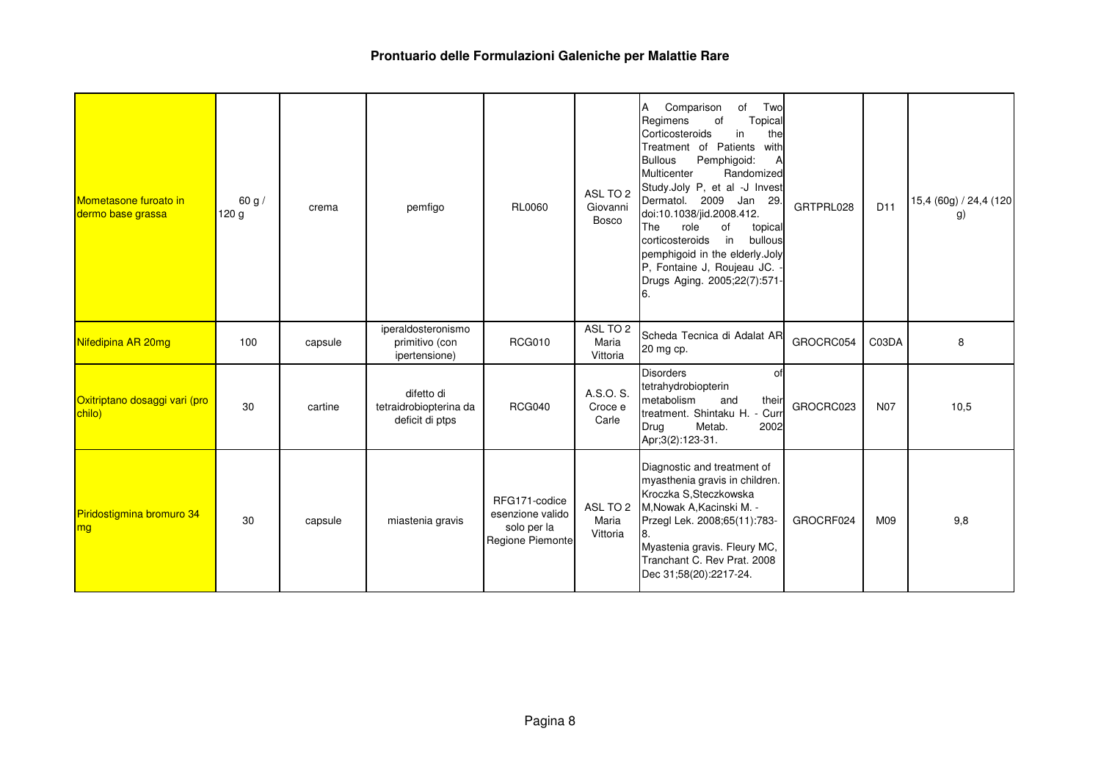| Mometasone furoato in<br>dermo base grassa | 60 g/<br>120 <sub>g</sub> | crema   | pemfigo                                                 | <b>RL0060</b>                                                        | ASL TO 2<br>Giovanni<br><b>Bosco</b> | Comparison<br>of<br>Two<br>Α<br>Topical<br>Regimens<br>οf<br>Corticosteroids<br>in<br>the<br>Treatment of Patients<br>with<br><b>Bullous</b><br>Pemphigoid:<br>А<br>Multicenter<br>Randomized<br>Study.Joly P, et al -J Invest<br>Dermatol. 2009 Jan 29.<br>doi:10.1038/jid.2008.412.<br>role<br>οf<br>The<br>topical<br>corticosteroids<br>in<br>bullous<br>pemphigoid in the elderly.Joly<br>P, Fontaine J, Roujeau JC.<br>Drugs Aging. 2005;22(7):571-<br>6. | GRTPRL028 | D <sub>11</sub> | 15,4 (60g) / 24,4 (120<br>g) |
|--------------------------------------------|---------------------------|---------|---------------------------------------------------------|----------------------------------------------------------------------|--------------------------------------|-----------------------------------------------------------------------------------------------------------------------------------------------------------------------------------------------------------------------------------------------------------------------------------------------------------------------------------------------------------------------------------------------------------------------------------------------------------------|-----------|-----------------|------------------------------|
| Nifedipina AR 20mg                         | 100                       | capsule | iperaldosteronismo<br>primitivo (con<br>ipertensione)   | <b>RCG010</b>                                                        | ASL TO 2<br>Maria<br>Vittoria        | Scheda Tecnica di Adalat AR<br>20 mg cp.                                                                                                                                                                                                                                                                                                                                                                                                                        | GROCRC054 | C03DA           | 8                            |
| Oxitriptano dosaggi vari (pro<br>chilo)    | 30                        | cartine | difetto di<br>tetraidrobiopterina da<br>deficit di ptps | <b>RCG040</b>                                                        | A.S.O. S.<br>Croce e<br>Carle        | <b>Disorders</b><br>0f<br>tetrahydrobiopterin<br>metabolism<br>their<br>and<br>treatment. Shintaku H. -<br>Curr<br>Metab.<br>2002<br>Drug<br>Apr;3(2):123-31.                                                                                                                                                                                                                                                                                                   | GROCRC023 | <b>N07</b>      | 10,5                         |
| Piridostigmina bromuro 34<br>mg            | 30                        | capsule | miastenia gravis                                        | RFG171-codice<br>esenzione valido<br>solo per la<br>Regione Piemonte | ASL TO 2<br>Maria<br>Vittoria        | Diagnostic and treatment of<br>myasthenia gravis in children.<br>Kroczka S.Steczkowska<br>M, Nowak A, Kacinski M. -<br>Przegl Lek. 2008;65(11):783-<br>8.<br>Myastenia gravis. Fleury MC,<br>Tranchant C. Rev Prat. 2008<br>Dec 31;58(20):2217-24.                                                                                                                                                                                                              | GROCRF024 | M09             | 9,8                          |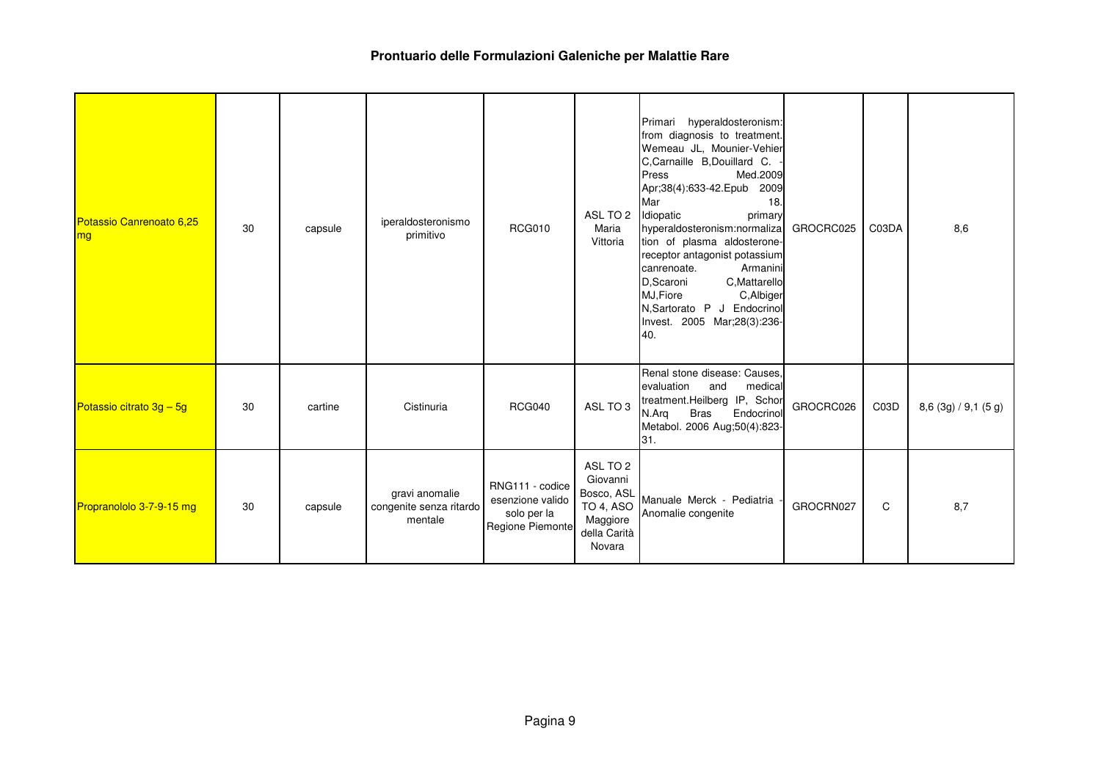| Potassio Canrenoato 6,25<br>mg | 30 | capsule | iperaldosteronismo<br>primitivo                      | <b>RCG010</b>                                                          | ASL TO 2<br>Maria<br>Vittoria                                                         | Primari hyperaldosteronism:<br>from diagnosis to treatment.<br>Wemeau JL, Mounier-Vehier<br>C,Carnaille B,Douillard C.<br>Press<br>Med.2009<br>Apr;38(4):633-42. Epub<br>2009<br>Mar<br>18.<br>Idiopatic<br>primary<br>hyperaldosteronism:normaliza<br>tion of plasma aldosterone-<br>receptor antagonist potassium<br>Armanini<br>canrenoate.<br>C, Mattarello<br>D,Scaroni<br>MJ, Fiore<br>C, Albiger<br>N,Sartorato P J Endocrinol<br>Invest. 2005 Mar;28(3):236-<br>40. | GROCRC025 | C03DA | 8,6                      |
|--------------------------------|----|---------|------------------------------------------------------|------------------------------------------------------------------------|---------------------------------------------------------------------------------------|-----------------------------------------------------------------------------------------------------------------------------------------------------------------------------------------------------------------------------------------------------------------------------------------------------------------------------------------------------------------------------------------------------------------------------------------------------------------------------|-----------|-------|--------------------------|
| Potassio citrato 3g - 5g       | 30 | cartine | Cistinuria                                           | <b>RCG040</b>                                                          | ASL TO 3                                                                              | Renal stone disease: Causes,<br>evaluation<br>and<br>medical<br>treatment.Heilberg IP, Schor<br>Endocrino<br><b>Bras</b><br>N.Arg<br>Metabol. 2006 Aug;50(4):823-<br>31.                                                                                                                                                                                                                                                                                                    | GROCRC026 | C03D  | $8,6$ (3g) $/$ 9,1 (5 g) |
| Propranololo 3-7-9-15 mg       | 30 | capsule | gravi anomalie<br>congenite senza ritardo<br>mentale | RNG111 - codice<br>esenzione valido<br>solo per la<br>Regione Piemonte | ASL TO 2<br>Giovanni<br>Bosco, ASL<br>TO 4, ASO<br>Maggiore<br>della Carità<br>Novara | Manuale Merck - Pediatria<br>Anomalie congenite                                                                                                                                                                                                                                                                                                                                                                                                                             | GROCRN027 | C     | 8,7                      |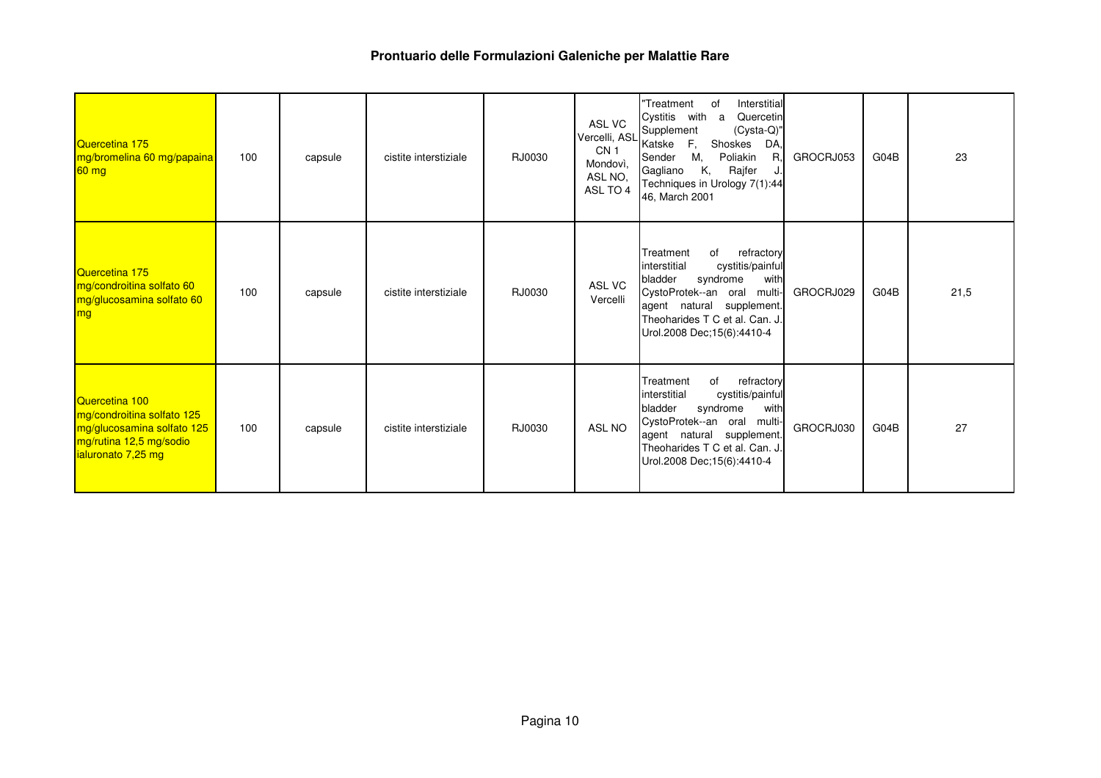| Quercetina 175<br>mg/bromelina 60 mg/papaina<br>$60$ mg                                                                     | 100 | capsule | cistite interstiziale | RJ0030 | ASL VC<br>CN <sub>1</sub><br>Mondovì,<br>ASL NO.<br>ASL TO 4 | Interstitial<br>"Treatment<br>of<br>Cystitis with<br>Quercetin<br>a<br>Vercelli, ASL Supplement<br>(Cysta-Q)"<br>F,<br>Shoskes<br>Katske<br>DA.<br>М,<br>Poliakin<br>R<br>Sender<br>Κ,<br>Gagliano<br>Rajfer<br>Techniques in Urology 7(1):44<br>46, March 2001 | GROCRJ053 | G04B | 23   |
|-----------------------------------------------------------------------------------------------------------------------------|-----|---------|-----------------------|--------|--------------------------------------------------------------|-----------------------------------------------------------------------------------------------------------------------------------------------------------------------------------------------------------------------------------------------------------------|-----------|------|------|
| Quercetina 175<br>mg/condroitina solfato 60<br>mg/glucosamina solfato 60<br>mg                                              | 100 | capsule | cistite interstiziale | RJ0030 | ASL VC<br>Vercelli                                           | refractory<br>Treatment<br>of<br>cystitis/painful<br>linterstitial<br>syndrome<br>bladder<br>with<br>CystoProtek--an oral multi-<br>agent natural supplement.<br>Theoharides T C et al. Can. J.<br>Urol.2008 Dec: 15(6): 4410-4                                 | GROCRJ029 | G04B | 21,5 |
| Quercetina 100<br>mg/condroitina solfato 125<br>mg/glucosamina solfato 125<br>mg/rutina 12,5 mg/sodio<br>ialuronato 7,25 mg | 100 | capsule | cistite interstiziale | RJ0030 | <b>ASL NO</b>                                                | refractory<br>of<br>Treatment<br>interstitial<br>cystitis/painful<br>bladder<br>syndrome<br>with<br>CystoProtek--an oral<br>multi<br>agent natural supplement.<br>Theoharides T C et al. Can. J.<br>Urol.2008 Dec: 15(6): 4410-4                                | GROCRJ030 | G04B | 27   |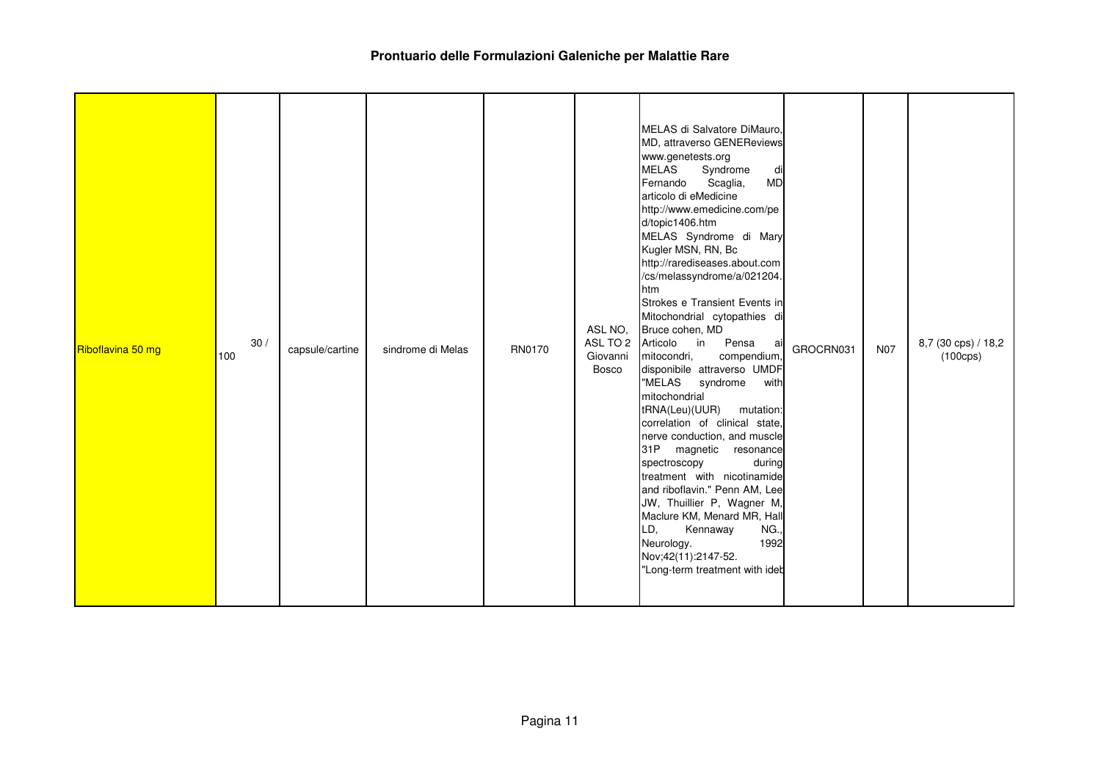| Riboflavina 50 mg | 30/<br>100 | capsule/cartine | sindrome di Melas | RN0170 | ASL NO.<br>Giovanni<br><b>Bosco</b> | MELAS di Salvatore DiMauro,<br>MD, attraverso GENEReviews<br>www.genetests.org<br><b>MELAS</b><br>Syndrome<br>di<br><b>MD</b><br>Scaglia,<br>Fernando<br>articolo di eMedicine<br>http://www.emedicine.com/pe<br>d/topic1406.htm<br>MELAS Syndrome di Mary<br>Kugler MSN, RN, Bc<br>http://rarediseases.about.com<br>/cs/melassyndrome/a/021204.<br>htm<br>Strokes e Transient Events in<br>Mitochondrial cytopathies di<br>Bruce cohen, MD<br>ASL TO 2 Articolo in<br>Pensa<br>ai<br>mitocondri,<br>compendium,<br>disponibile attraverso UMDF<br>"MELAS syndrome<br>with<br>mitochondrial<br>tRNA(Leu)(UUR)<br>mutation:<br>correlation of clinical state,<br>nerve conduction, and muscle<br>31P magnetic resonance<br>during<br>spectroscopy<br>treatment with nicotinamide<br>and riboflavin." Penn AM, Lee<br>JW, Thuillier P, Wagner M,<br>Maclure KM, Menard MR, Hall<br>LD,<br>Kennaway<br>NG.,<br>Neurology.<br>1992<br>Nov; 42(11): 2147-52.<br>"Long-term treatment with ideb | GROCRN031 | <b>N07</b> | 8,7 (30 cps) / 18,2<br>$(100 \text{cps})$ |
|-------------------|------------|-----------------|-------------------|--------|-------------------------------------|-------------------------------------------------------------------------------------------------------------------------------------------------------------------------------------------------------------------------------------------------------------------------------------------------------------------------------------------------------------------------------------------------------------------------------------------------------------------------------------------------------------------------------------------------------------------------------------------------------------------------------------------------------------------------------------------------------------------------------------------------------------------------------------------------------------------------------------------------------------------------------------------------------------------------------------------------------------------------------------------|-----------|------------|-------------------------------------------|
|-------------------|------------|-----------------|-------------------|--------|-------------------------------------|-------------------------------------------------------------------------------------------------------------------------------------------------------------------------------------------------------------------------------------------------------------------------------------------------------------------------------------------------------------------------------------------------------------------------------------------------------------------------------------------------------------------------------------------------------------------------------------------------------------------------------------------------------------------------------------------------------------------------------------------------------------------------------------------------------------------------------------------------------------------------------------------------------------------------------------------------------------------------------------------|-----------|------------|-------------------------------------------|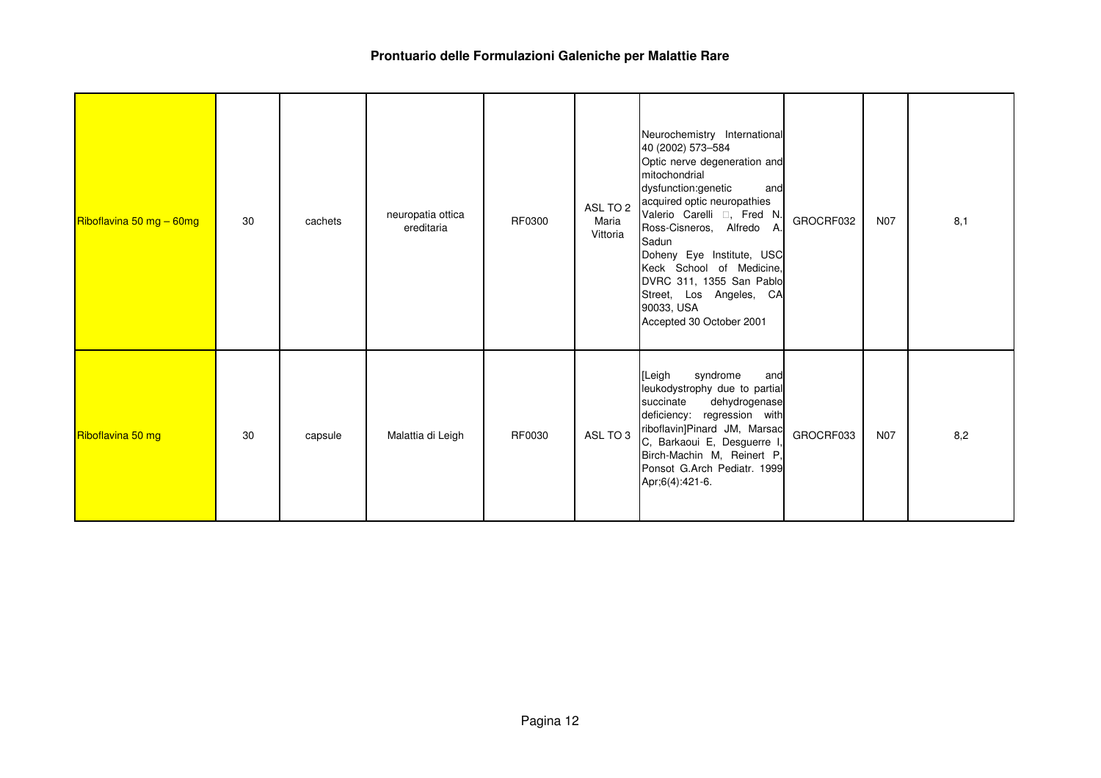| Riboflavina 50 mg - 60mg | 30 | cachets | neuropatia ottica<br>ereditaria | RF0300 | ASL TO 2<br>Maria<br>Vittoria | Neurochemistry International<br>40 (2002) 573-584<br>Optic nerve degeneration and<br>mitochondrial<br>dysfunction:genetic<br>and<br>acquired optic neuropathies<br>Valerio Carelli , Fred N.<br>Ross-Cisneros, Alfredo A.<br>Sadun<br>Doheny Eye Institute, USC<br>Keck School of Medicine,<br>DVRC 311, 1355 San Pablo<br>Street, Los Angeles, CA<br>90033, USA<br>Accepted 30 October 2001 | GROCRF032 | <b>N07</b> | 8,1 |
|--------------------------|----|---------|---------------------------------|--------|-------------------------------|----------------------------------------------------------------------------------------------------------------------------------------------------------------------------------------------------------------------------------------------------------------------------------------------------------------------------------------------------------------------------------------------|-----------|------------|-----|
| Riboflavina 50 mg        | 30 | capsule | Malattia di Leigh               | RF0030 | ASL TO 3                      | syndrome<br>[Leigh<br>and<br>leukodystrophy due to partial<br>succinate<br>dehydrogenase<br>deficiency: regression with<br>riboflavin]Pinard JM, Marsac<br>C, Barkaoui E, Desguerre I<br>Birch-Machin M, Reinert P,<br>Ponsot G.Arch Pediatr. 1999<br>Apr;6(4):421-6.                                                                                                                        | GROCRF033 | <b>N07</b> | 8,2 |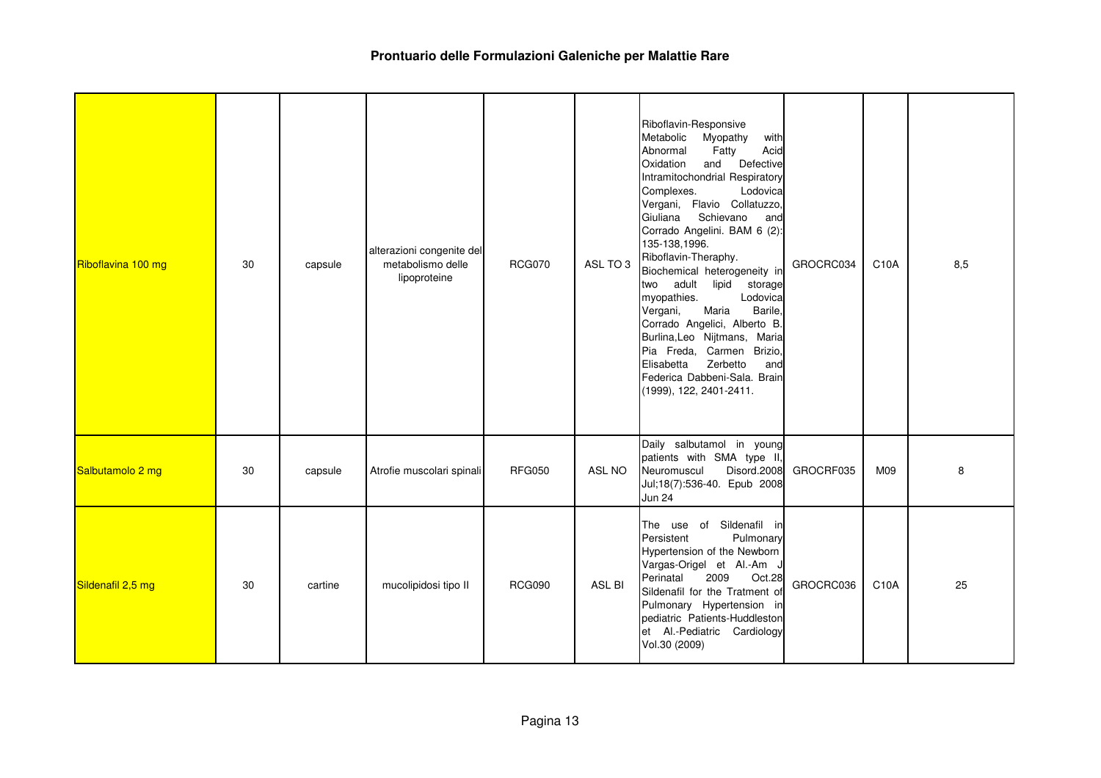| Riboflavina 100 mg | 30 | capsule | alterazioni congenite del<br>metabolismo delle<br>lipoproteine | <b>RCG070</b> | ASL TO 3      | Riboflavin-Responsive<br>Metabolic<br>Myopathy<br>with<br>Abnormal<br>Acid<br>Fatty<br>and<br>Defective<br>Oxidation<br>Intramitochondrial Respiratory<br>Lodovica<br>Complexes.<br>Vergani, Flavio Collatuzzo,<br>Giuliana<br>Schievano<br>and<br>Corrado Angelini. BAM 6 (2):<br>135-138,1996.<br>Riboflavin-Theraphy.<br>Biochemical heterogeneity in<br>two adult lipid storage<br>Lodovica<br>myopathies.<br>Maria<br>Barile,<br>Vergani,<br>Corrado Angelici, Alberto B.<br>Burlina, Leo Nijtmans, Maria<br>Pia Freda, Carmen Brizio,<br>Zerbetto<br>Elisabetta<br>and<br>Federica Dabbeni-Sala. Brain<br>(1999), 122, 2401-2411. | GROCRC034 | C10A | 8,5 |
|--------------------|----|---------|----------------------------------------------------------------|---------------|---------------|-----------------------------------------------------------------------------------------------------------------------------------------------------------------------------------------------------------------------------------------------------------------------------------------------------------------------------------------------------------------------------------------------------------------------------------------------------------------------------------------------------------------------------------------------------------------------------------------------------------------------------------------|-----------|------|-----|
| Salbutamolo 2 mg   | 30 | capsule | Atrofie muscolari spinali                                      | <b>RFG050</b> | ASL NO        | Daily salbutamol in young<br>patients with SMA type II,<br>Disord.2008<br>Neuromuscul<br>Jul;18(7):536-40. Epub 2008<br><b>Jun 24</b>                                                                                                                                                                                                                                                                                                                                                                                                                                                                                                   | GROCRF035 | M09  | 8   |
| Sildenafil 2,5 mg  | 30 | cartine | mucolipidosi tipo II                                           | <b>RCG090</b> | <b>ASL BI</b> | The use of Sildenafil in<br>Persistent<br>Pulmonary<br>Hypertension of the Newborn<br>Vargas-Origel et Al.-Am J<br>Perinatal<br>2009<br>Oct.28<br>Sildenafil for the Tratment of<br>Pulmonary Hypertension in<br>pediatric Patients-Huddleston<br>et Al.-Pediatric Cardiology<br>Vol.30 (2009)                                                                                                                                                                                                                                                                                                                                          | GROCRC036 | C10A | 25  |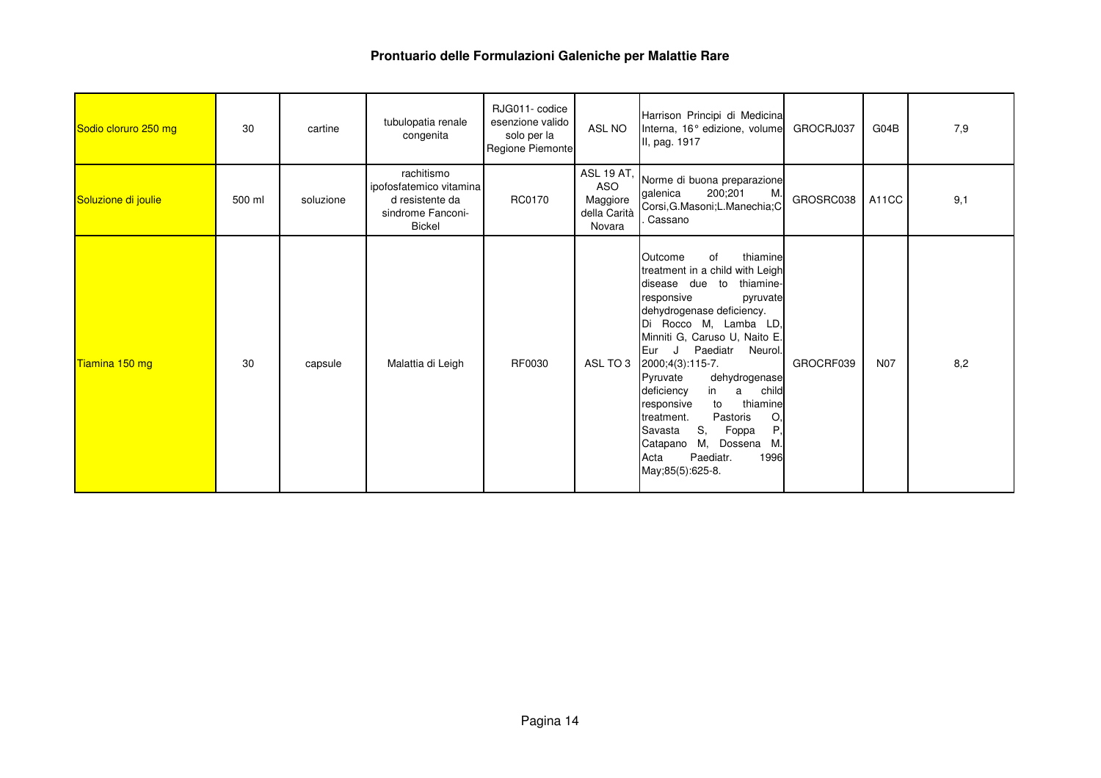| Sodio cloruro 250 mg | 30     | cartine   | tubulopatia renale<br>congenita                                                                | RJG011-codice<br>esenzione valido<br>solo per la<br>Regione Piemonte | ASL NO                             | Harrison Principi di Medicina<br>Interna, 16° edizione, volume<br>II, pag. 1917                                                                                                                                                                                                                                                                                                                                                                                                                                                  | GROCRJ037 | G04B       | 7,9 |
|----------------------|--------|-----------|------------------------------------------------------------------------------------------------|----------------------------------------------------------------------|------------------------------------|----------------------------------------------------------------------------------------------------------------------------------------------------------------------------------------------------------------------------------------------------------------------------------------------------------------------------------------------------------------------------------------------------------------------------------------------------------------------------------------------------------------------------------|-----------|------------|-----|
| Soluzione di joulie  | 500 ml | soluzione | rachitismo<br>ipofosfatemico vitamina<br>d resistente da<br>sindrome Fanconi-<br><b>Bickel</b> | RC0170                                                               | Maggiore<br>della Carità<br>Novara | ASL 19 AT, Norme di buona preparazione<br>200;201<br>M<br>galenica<br>Corsi, G. Masoni; L. Manechia; C<br>Cassano                                                                                                                                                                                                                                                                                                                                                                                                                | GROSRC038 | A11CC      | 9,1 |
| Tiamina 150 mg       | 30     | capsule   | Malattia di Leigh                                                                              | RF0030                                                               |                                    | of<br>thiamine<br>Outcome<br>treatment in a child with Leigh<br>disease due to<br>thiamine-<br>responsive<br>pyruvate<br>dehydrogenase deficiency.<br>Di Rocco M, Lamba LD,<br>Minniti G, Caruso U, Naito E.<br>Paediatr<br>Eur<br>. J .<br>Neurol.<br>ASL TO 3 2000;4(3):115-7.<br>dehydrogenase<br>Pyruvate<br>child<br>deficiency<br>in<br>a<br>thiamine<br>to<br>responsive<br>Pastoris<br>O.<br>treatment.<br>P.<br>S,<br>Savasta<br>Foppa<br>М.<br>Dossena M.<br>Catapano<br>Paediatr.<br>1996<br>Acta<br>May;85(5):625-8. | GROCRF039 | <b>N07</b> | 8,2 |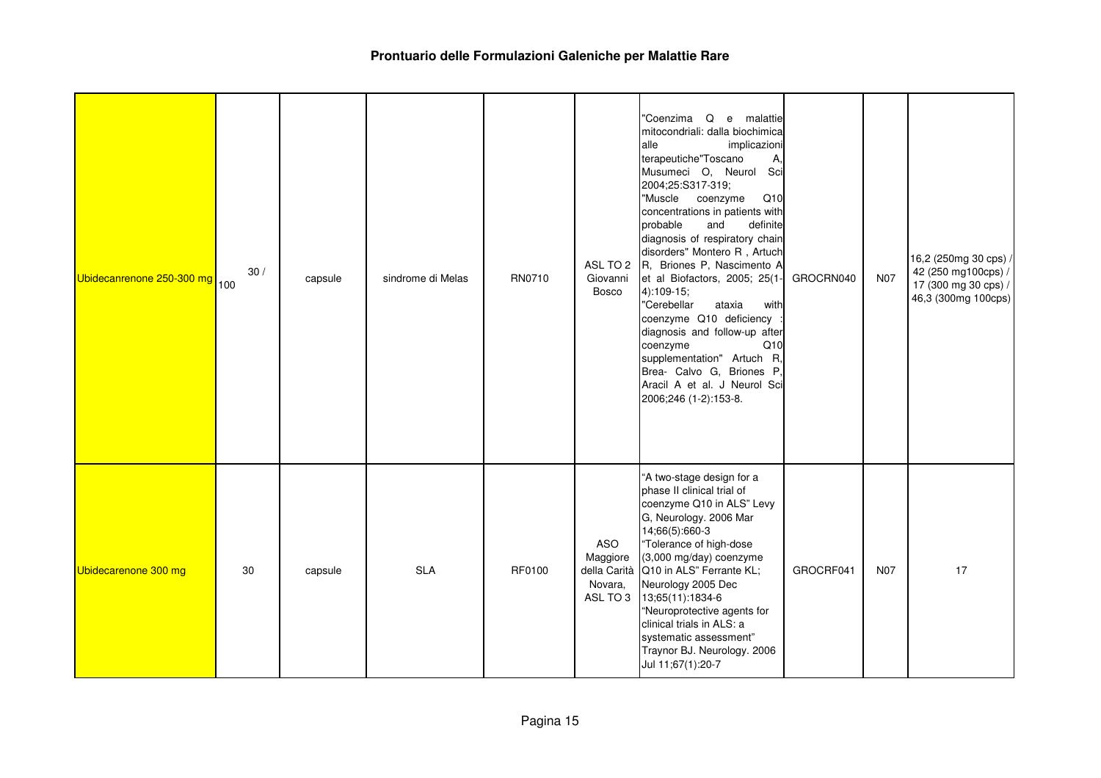| Ubidecanrenone 250-300 mg 100 | 30/ | capsule | sindrome di Melas | RN0710 | Giovanni<br>Bosco          | "Coenzima<br>$\Omega$<br>e malattie<br>mitocondriali: dalla biochimica<br>alle<br>implicazioni<br>terapeutiche"Toscano<br>A,<br>Musumeci O, Neurol Sci<br>2004;25:S317-319;<br>"Muscle coenzyme<br>Q10<br>concentrations in patients with<br>probable<br>definite<br>and<br>diagnosis of respiratory chain<br>disorders" Montero R, Artuch<br>ASL TO 2 R, Briones P, Nascimento A<br>et al Biofactors, 2005; 25(1-<br>$4)$ :109-15;<br>"Cerebellar<br>ataxia<br>with<br>coenzyme Q10 deficiency<br>diagnosis and follow-up after<br>coenzyme<br>Q10<br>supplementation" Artuch R,<br>Brea- Calvo G, Briones P,<br>Aracil A et al. J Neurol Sci<br>2006;246 (1-2):153-8. | GROCRN040 | N07        | 16,2 (250mg 30 cps) /<br>42 (250 mg100cps) /<br>17 (300 mg 30 cps) /<br>46,3 (300mg 100cps) |
|-------------------------------|-----|---------|-------------------|--------|----------------------------|-------------------------------------------------------------------------------------------------------------------------------------------------------------------------------------------------------------------------------------------------------------------------------------------------------------------------------------------------------------------------------------------------------------------------------------------------------------------------------------------------------------------------------------------------------------------------------------------------------------------------------------------------------------------------|-----------|------------|---------------------------------------------------------------------------------------------|
| Ubidecarenone 300 mg          | 30  | capsule | <b>SLA</b>        | RF0100 | ASO<br>Maggiore<br>Novara, | "A two-stage design for a<br>phase II clinical trial of<br>coenzyme Q10 in ALS" Levy<br>G, Neurology. 2006 Mar<br>14;66(5):660-3<br>"Tolerance of high-dose<br>(3,000 mg/day) coenzyme<br>della Carità Q10 in ALS" Ferrante KL;<br>Neurology 2005 Dec<br>ASL TO 3 13;65(11):1834-6<br>"Neuroprotective agents for<br>clinical trials in ALS: a<br>systematic assessment"<br>Traynor BJ. Neurology. 2006<br>Jul 11;67(1):20-7                                                                                                                                                                                                                                            | GROCRF041 | <b>N07</b> | 17                                                                                          |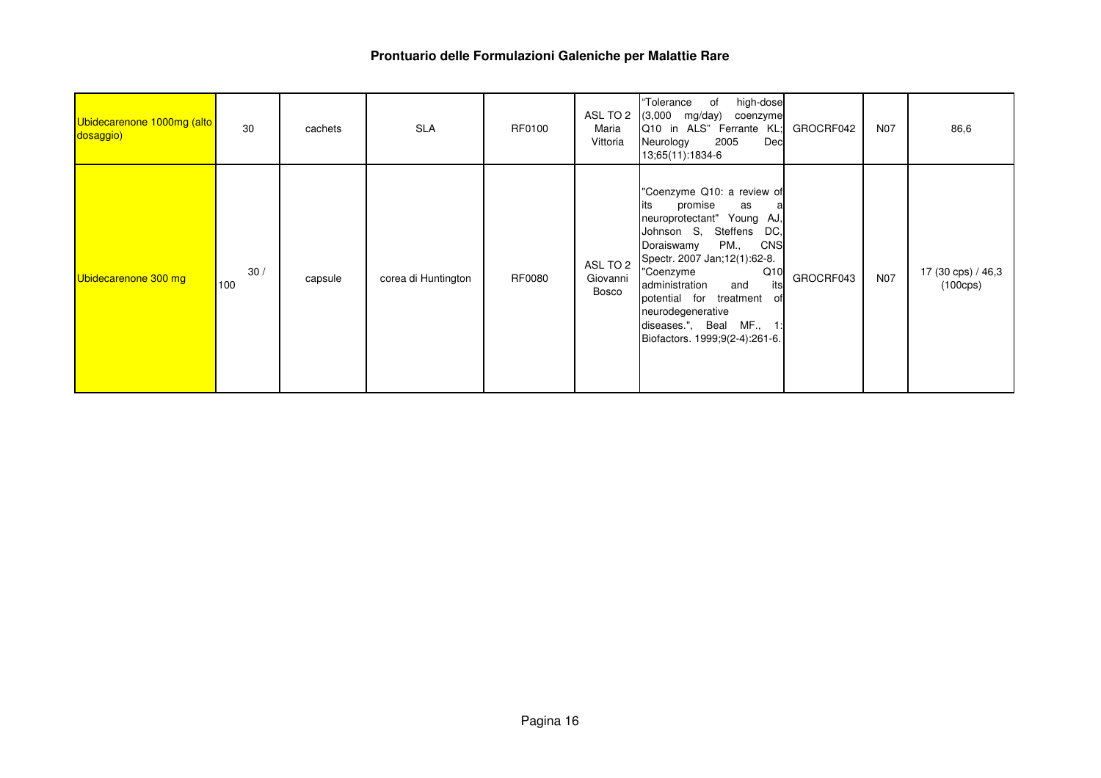| Ubidecarenone 1000mg (alto<br>dosaggio) | 30         | cachets | <b>SLA</b>          | RF0100 | ASL TO 2<br>Maria<br>Vittoria | "Tolerance<br>high-dose<br>of<br>$(3,000 \text{ mg/day})$<br>coenzyme<br>Q10 in ALS" Ferrante KL;<br>2005<br>Dec<br>Neurology<br>13;65(11):1834-6                                                                                                                                                                                                        | GROCRF042 | N07        | 86,6                                     |
|-----------------------------------------|------------|---------|---------------------|--------|-------------------------------|----------------------------------------------------------------------------------------------------------------------------------------------------------------------------------------------------------------------------------------------------------------------------------------------------------------------------------------------------------|-----------|------------|------------------------------------------|
| Ubidecarenone 300 mg                    | 30/<br>100 | capsule | corea di Huntington | RF0080 | ASL TO 2<br>Giovanni<br>Bosco | "Coenzyme Q10: a review of<br>its<br>promise<br>as<br>a<br>neuroprotectant" Young AJ,<br>Johnson S,<br>Steffens<br>DC,<br>CNS<br>PM.,<br>Doraiswamy<br>Spectr. 2007 Jan;12(1):62-8.<br>Q10<br>"Coenzyme<br>its<br>administration<br>and<br>potential for treatment<br>0t<br>neurodegenerative<br>diseases.", Beal MF.,<br>Biofactors. 1999;9(2-4):261-6. | GROCRF043 | <b>N07</b> | 17 (30 cps) / 46,3<br>$(100 \text{cps})$ |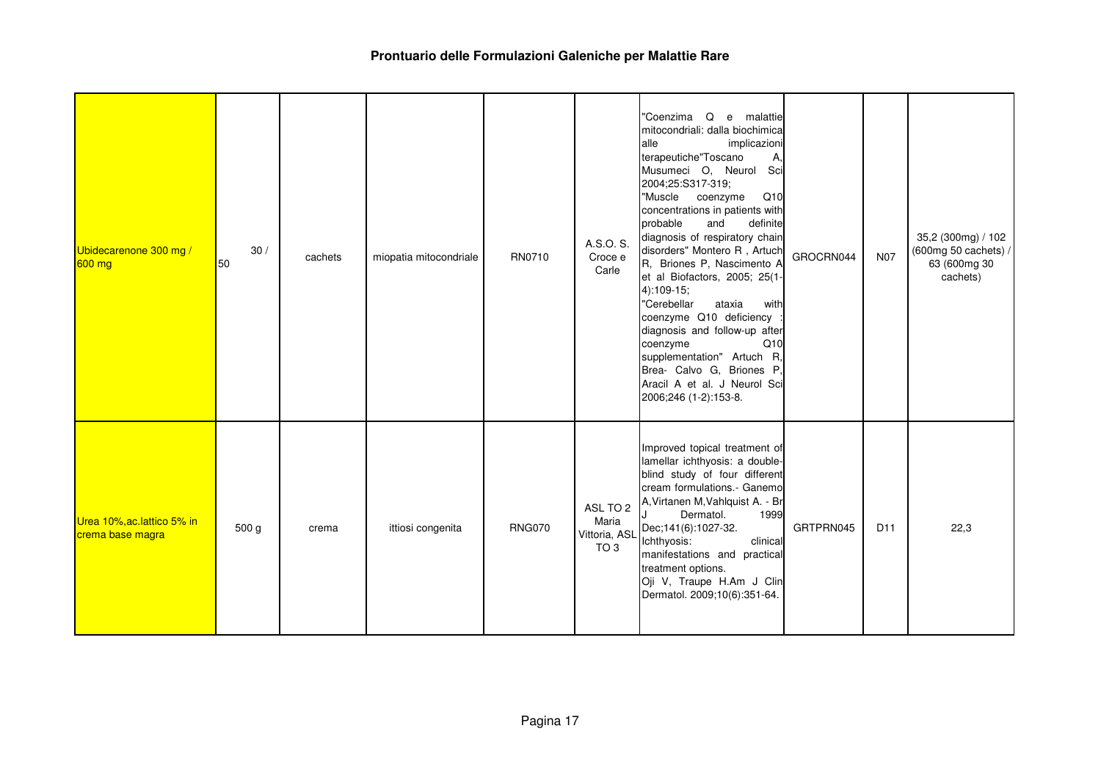| Ubidecarenone 300 mg /<br>$600$ mg              | 30/<br>50 | cachets | miopatia mitocondriale | RN0710        | A.S.O. S.<br>Croce e<br>Carle                         | "Coenzima Q e malattie<br>mitocondriali: dalla biochimica<br>alle<br>implicazioni<br>terapeutiche"Toscano<br>А,<br>Musumeci O, Neurol Sci<br>2004;25:S317-319;<br>"Muscle coenzyme<br>Q10<br>concentrations in patients with<br>probable<br>definite<br>and<br>diagnosis of respiratory chain<br>disorders" Montero R, Artuch<br>R, Briones P, Nascimento A<br>et al Biofactors, 2005; 25(1-<br>$4)$ :109-15;<br>"Cerebellar<br>ataxia<br>with<br>coenzyme Q10 deficiency<br>diagnosis and follow-up after<br>Q10<br>coenzyme<br>supplementation" Artuch R,<br>Brea- Calvo G, Briones P,<br>Aracil A et al. J Neurol Sci<br>2006;246 (1-2):153-8. | GROCRN044 | <b>N07</b>      | 35,2 (300mg) / 102<br>(600mg 50 cachets) /<br>63 (600mg 30<br>cachets) |
|-------------------------------------------------|-----------|---------|------------------------|---------------|-------------------------------------------------------|---------------------------------------------------------------------------------------------------------------------------------------------------------------------------------------------------------------------------------------------------------------------------------------------------------------------------------------------------------------------------------------------------------------------------------------------------------------------------------------------------------------------------------------------------------------------------------------------------------------------------------------------------|-----------|-----------------|------------------------------------------------------------------------|
| Urea 10%, ac. lattico 5% in<br>crema base magra | 500 g     | crema   | ittiosi congenita      | <b>RNG070</b> | ASL TO 2<br>Maria<br>Vittoria, ASL<br>TO <sub>3</sub> | Improved topical treatment of<br>lamellar ichthyosis: a double-<br>blind study of four different<br>cream formulations.- Ganemo<br>A, Virtanen M, Vahlquist A. - Br<br>Dermatol.<br>1999<br>Dec;141(6):1027-32.<br>clinical<br>Ichthyosis:<br>manifestations and practical<br>treatment options.<br>Oji V, Traupe H.Am J Clin<br>Dermatol. 2009;10(6):351-64.                                                                                                                                                                                                                                                                                     | GRTPRN045 | D <sub>11</sub> | 22,3                                                                   |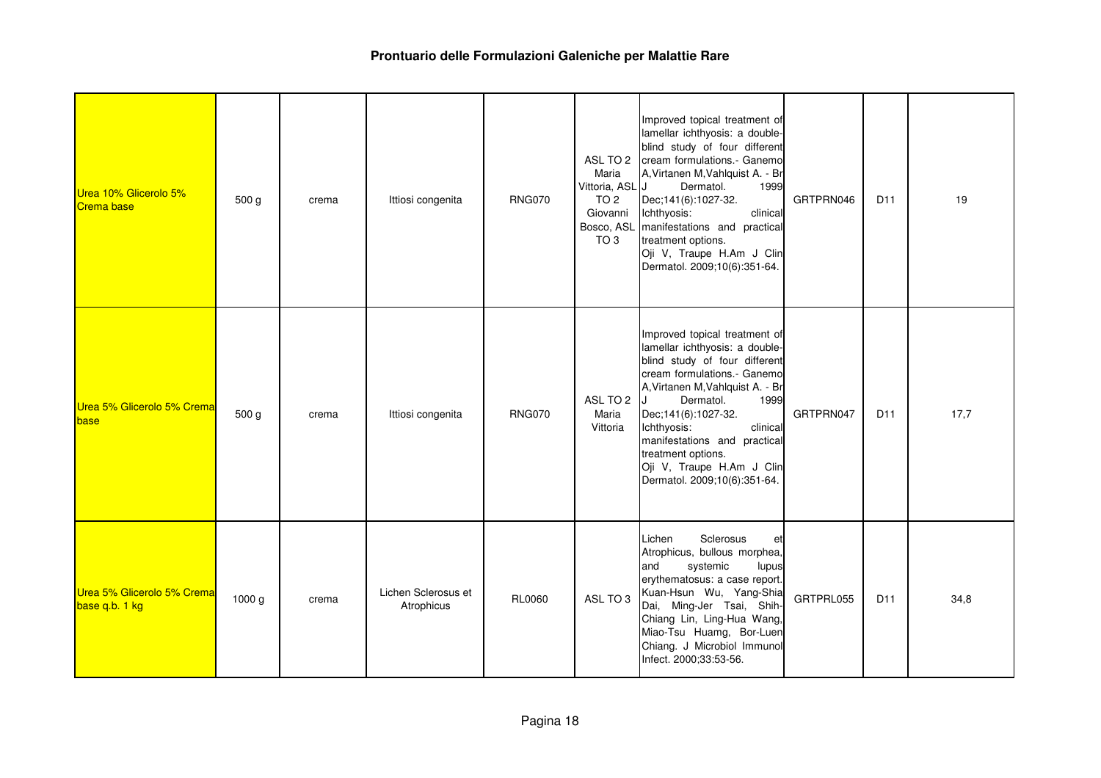| Urea 10% Glicerolo 5%<br><b>Crema base</b>   | 500 g  | crema | Ittiosi congenita                 | <b>RNG070</b> | Maria<br>Vittoria, ASL J<br>TO <sub>2</sub><br>Giovanni<br>TO 3 | Improved topical treatment of<br>lamellar ichthyosis: a double-<br>blind study of four different<br>ASL TO 2 cream formulations.- Ganemo<br>A, Virtanen M, Vahlquist A. - Br<br>Dermatol.<br>1999<br>Dec; 141(6): 1027-32.<br>clinical<br>Ichthyosis:<br>Bosco, ASL manifestations and practical<br>treatment options.<br>Oji V, Traupe H.Am J Clin<br>Dermatol. 2009;10(6):351-64. | GRTPRN046 | D <sub>11</sub> | 19   |
|----------------------------------------------|--------|-------|-----------------------------------|---------------|-----------------------------------------------------------------|-------------------------------------------------------------------------------------------------------------------------------------------------------------------------------------------------------------------------------------------------------------------------------------------------------------------------------------------------------------------------------------|-----------|-----------------|------|
| Urea 5% Glicerolo 5% Crema<br>base           | 500 g  | crema | Ittiosi congenita                 | <b>RNG070</b> | ASL TO 2<br>Maria<br>Vittoria                                   | Improved topical treatment of<br>lamellar ichthyosis: a double-<br>blind study of four different<br>cream formulations.- Ganemo<br>A, Virtanen M, Vahlquist A. - Br<br>Dermatol.<br>1999<br>Dec; 141(6): 1027-32.<br>Ichthyosis:<br>clinical<br>manifestations and practical<br>treatment options.<br>Oji V, Traupe H.Am J Clin<br>Dermatol. 2009;10(6):351-64.                     | GRTPRN047 | D <sub>11</sub> | 17,7 |
| Urea 5% Glicerolo 5% Crema<br>base q.b. 1 kg | 1000 g | crema | Lichen Sclerosus et<br>Atrophicus | <b>RL0060</b> | ASL TO 3                                                        | Lichen<br>Sclerosus<br>et<br>Atrophicus, bullous morphea,<br>systemic<br>and<br>lupus<br>erythematosus: a case report.<br>Kuan-Hsun Wu, Yang-Shia<br>Dai, Ming-Jer Tsai, Shih-<br>Chiang Lin, Ling-Hua Wang,<br>Miao-Tsu Huamg, Bor-Luen<br>Chiang. J Microbiol Immunol<br>Infect. 2000;33:53-56.                                                                                   | GRTPRL055 | D <sub>11</sub> | 34,8 |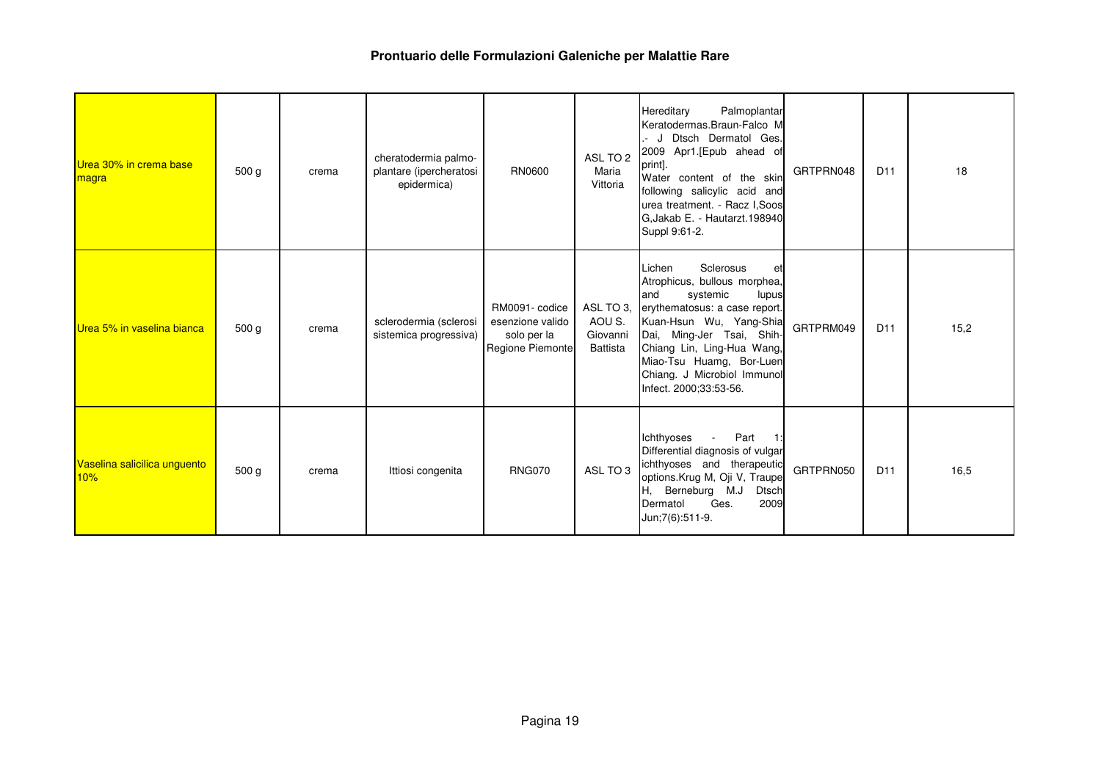| Urea 30% in crema base<br>magra     | 500 <sub>g</sub> | crema | cheratodermia palmo-<br>plantare (ipercheratosi<br>epidermica) | RN0600                                                                | ASL TO 2<br>Maria<br>Vittoria                      | Palmoplantar<br>Hereditary<br>Keratodermas.Braun-Falco M<br>.- J Dtsch Dermatol Ges.<br>2009 Apr1.[Epub ahead of<br>print].<br>Water content of the skin<br>following salicylic acid and<br>urea treatment. - Racz I, Soos<br>G.Jakab E. - Hautarzt.198940<br>Suppl 9:61-2.                       | GRTPRN048 | D <sub>11</sub> | 18   |
|-------------------------------------|------------------|-------|----------------------------------------------------------------|-----------------------------------------------------------------------|----------------------------------------------------|---------------------------------------------------------------------------------------------------------------------------------------------------------------------------------------------------------------------------------------------------------------------------------------------------|-----------|-----------------|------|
| Urea 5% in vaselina bianca          | 500 g            | crema | sclerodermia (sclerosi<br>sistemica progressiva)               | RM0091- codice<br>esenzione valido<br>solo per la<br>Regione Piemonte | ASL TO 3,<br>AOU S.<br>Giovanni<br><b>Battista</b> | Sclerosus<br>Lichen<br>et<br>Atrophicus, bullous morphea,<br>systemic<br>and<br>lupus<br>erythematosus: a case report.<br>Kuan-Hsun Wu, Yang-Shia<br>Dai, Ming-Jer Tsai, Shih-<br>Chiang Lin, Ling-Hua Wang,<br>Miao-Tsu Huamg, Bor-Luen<br>Chiang. J Microbiol Immunol<br>Infect. 2000;33:53-56. | GRTPRM049 | D <sub>11</sub> | 15,2 |
| Vaselina salicilica unguento<br>10% | 500 <sub>g</sub> | crema | Ittiosi congenita                                              | <b>RNG070</b>                                                         | ASL TO 3                                           | Ichthyoses<br>Part<br>$\sim$<br>$-1:$<br>Differential diagnosis of vulgar<br>ichthyoses and therapeutic<br>options.Krug M, Oji V, Traupe<br>H, Berneburg M.J<br><b>Dtsch</b><br>2009<br>Dermatol<br>Ges.<br>Jun; 7(6): 511-9.                                                                     | GRTPRN050 | D <sub>11</sub> | 16,5 |